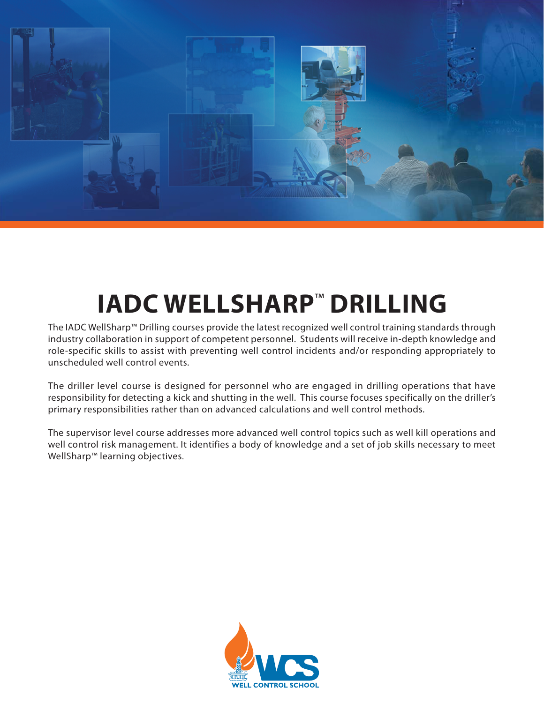

# **IADC WELLSHARP**™ **DRILLING**

The IADC WellSharp™ Drilling courses provide the latest recognized well control training standards through industry collaboration in support of competent personnel. Students will receive in-depth knowledge and role-specific skills to assist with preventing well control incidents and/or responding appropriately to unscheduled well control events.

The driller level course is designed for personnel who are engaged in drilling operations that have responsibility for detecting a kick and shutting in the well. This course focuses specifically on the driller's primary responsibilities rather than on advanced calculations and well control methods.

The supervisor level course addresses more advanced well control topics such as well kill operations and well control risk management. It identifies a body of knowledge and a set of job skills necessary to meet WellSharp™ learning objectives.